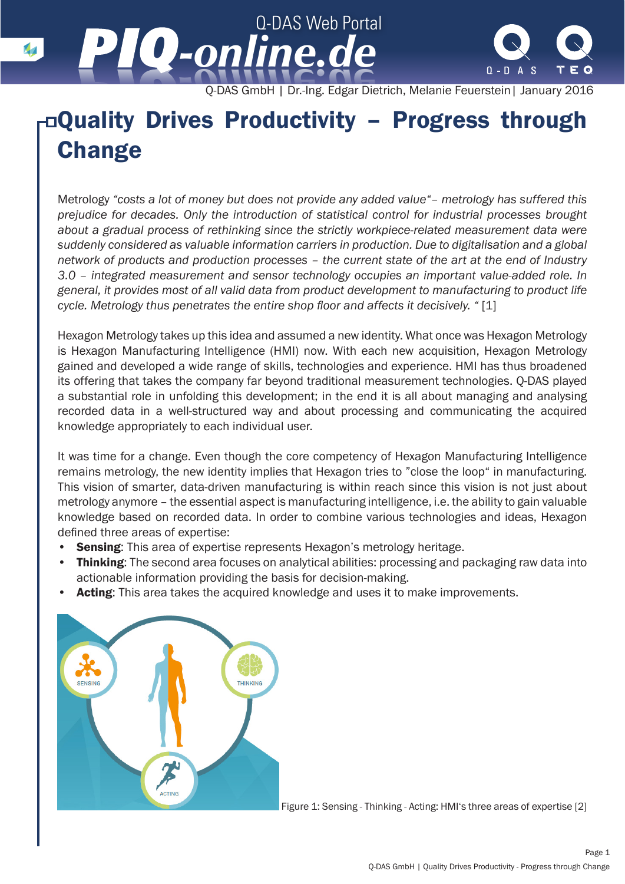Q-DAS GmbH | Dr.-Ing. Edgar Dietrich, Melanie Feuerstein| January 2016

 $0 - D A S$ 

## Quality Drives Productivity – Progress through **Change**

Q-DAS Web Portal

*-online.de -online.de*

Metrology *"costs a lot of money but does not provide any added value"– metrology has suffered this prejudice for decades. Only the introduction of statistical control for industrial processes brought about a gradual process of rethinking since the strictly workpiece-related measurement data were suddenly considered as valuable information carriers in production. Due to digitalisation and a global network of products and production processes – the current state of the art at the end of Industry 3.0 – integrated measurement and sensor technology occupies an important value-added role. In general, it provides most of all valid data from product development to manufacturing to product life cycle. Metrology thus penetrates the entire shop floor and affects it decisively. "* [1]

Hexagon Metrology takes up this idea and assumed a new identity. What once was Hexagon Metrology is Hexagon Manufacturing Intelligence (HMI) now. With each new acquisition, Hexagon Metrology gained and developed a wide range of skills, technologies and experience. HMI has thus broadened its offering that takes the company far beyond traditional measurement technologies. Q-DAS played a substantial role in unfolding this development; in the end it is all about managing and analysing recorded data in a well-structured way and about processing and communicating the acquired knowledge appropriately to each individual user.

It was time for a change. Even though the core competency of Hexagon Manufacturing Intelligence remains metrology, the new identity implies that Hexagon tries to "close the loop" in manufacturing. This vision of smarter, data-driven manufacturing is within reach since this vision is not just about metrology anymore – the essential aspect is manufacturing intelligence, i.e. the ability to gain valuable knowledge based on recorded data. In order to combine various technologies and ideas, Hexagon defined three areas of expertise:

- **Sensing:** This area of expertise represents Hexagon's metrology heritage.
- **Thinking:** The second area focuses on analytical abilities: processing and packaging raw data into actionable information providing the basis for decision-making.
- Acting: This area takes the acquired knowledge and uses it to make improvements.



Figure 1: Sensing - Thinking - Acting: HMI's three areas of expertise [2]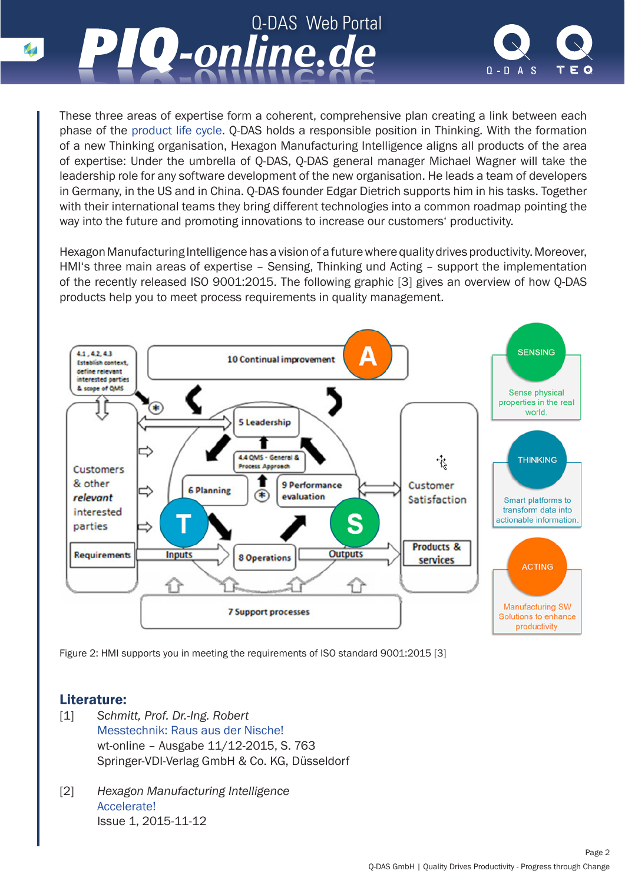



These three areas of expertise form a coherent, comprehensive plan creating a link between each phase of the [product life cycle.](http://www.piq-online.de/en/articlepage/piq-entry/194-q-das-produkte-unterstuetzen-das-product-lifecycle/?tx_vierwdqdaspiq_piqentry[action]=show&cHash=893b6d6e5fdc3d06b887dc60fba03e80) Q-DAS holds a responsible position in Thinking. With the formation of a new Thinking organisation, Hexagon Manufacturing Intelligence aligns all products of the area of expertise: Under the umbrella of Q-DAS, Q-DAS general manager Michael Wagner will take the leadership role for any software development of the new organisation. He leads a team of developers in Germany, in the US and in China. Q-DAS founder Edgar Dietrich supports him in his tasks. Together with their international teams they bring different technologies into a common roadmap pointing the way into the future and promoting innovations to increase our customers' productivity.

Hexagon Manufacturing Intelligence has a vision of a future where quality drives productivity. Moreover, HMI's three main areas of expertise – Sensing, Thinking und Acting – support the implementation of the recently released ISO 9001:2015. The following graphic [3] gives an overview of how Q-DAS products help you to meet process requirements in quality management.



Figure 2: HMI supports you in meeting the requirements of ISO standard 9001:2015 [3]

## Literature:

- [1] *Schmitt, Prof. Dr.-Ing. Robert* [Messtechnik: Raus aus der Nische!](http://www.werkstattstechnik.de/wt/currentarticle.php?data%5barticle_id%5d=84734) wt-online – Ausgabe 11/12-2015, S. 763 Springer-VDI-Verlag GmbH & Co. KG, Düsseldorf
- [2] *Hexagon Manufacturing Intelligence* [Accelerate!](http://www.hexagonmetrology.de/eng/The-Hexagon-Manufacturing-Intelligence-Magazine_631.htm#.VssEWPnhCUk) Issue 1, 2015-11-12

 $\overline{\mathbf{v}}$